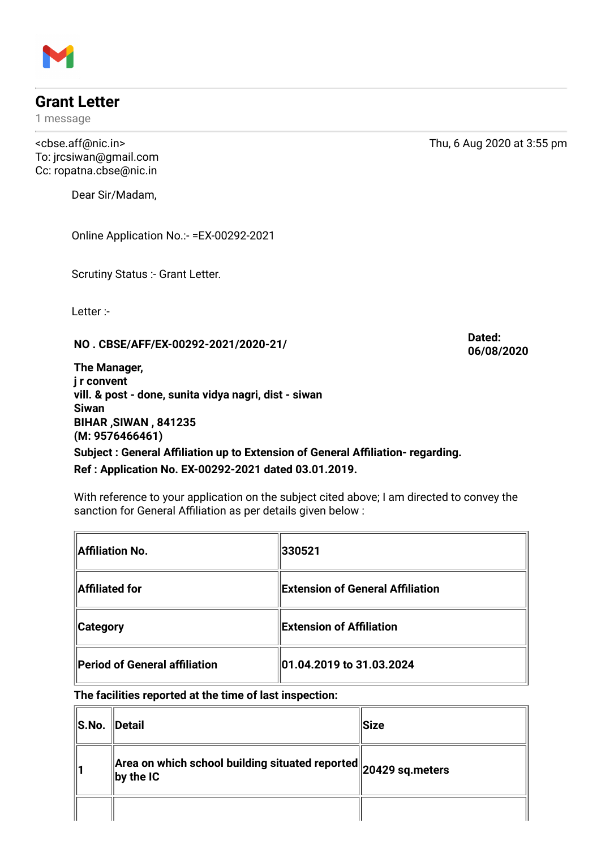## **Grant Letter**

1 message

To: jrcsiwan@gmail.com Cc: ropatna.cbse@nic.in

Dear Sir/Madam,

Online Application No.:- =EX-00292-2021

Scrutiny Status :- Grant Letter.

Letter :-

**NO . CBSE/AFF/EX-00292-2021/2020-21/**

**Dated: 06/08/2020**

**The Manager, j r convent vill. & post - done, sunita vidya nagri, dist - siwan Siwan BIHAR ,SIWAN , 841235 (M: 9576466461) Subject : General Affiliation up to Extension of General Affiliation- regarding.**

**Ref : Application No. EX-00292-2021 dated 03.01.2019.**

With reference to your application on the subject cited above; I am directed to convey the sanction for General Affiliation as per details given below :

| Affiliation No.               | 330521                               |  |
|-------------------------------|--------------------------------------|--|
| Affiliated for                | Extension of General Affiliation     |  |
| <b>Category</b>               | $\parallel$ Extension of Affiliation |  |
| Period of General affiliation | 01.04.2019 to 31.03.2024             |  |

**The facilities reported at the time of last inspection:**

| S.No. Detail |                                                                                             | Size |
|--------------|---------------------------------------------------------------------------------------------|------|
|              | $\ $ Area on which school building situated reported $\ $ 20429 sq.meters<br>$\ $ by the IC |      |
|              |                                                                                             |      |



<cbse.aff@nic.in> Thu, 6 Aug 2020 at 3:55 pm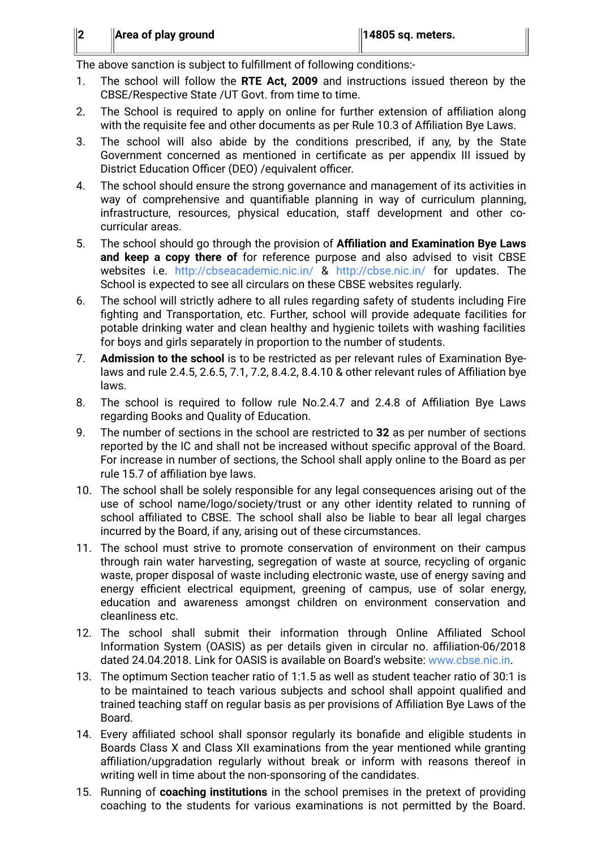The above sanction is subject to fulfillment of following conditions:-

- 1. The school will follow the **RTE Act, 2009** and instructions issued thereon by the CBSE/Respective State /UT Govt. from time to time.
- 2. The School is required to apply on online for further extension of affiliation along with the requisite fee and other documents as per Rule 10.3 of Affiliation Bye Laws.
- 3. The school will also abide by the conditions prescribed, if any, by the State Government concerned as mentioned in certificate as per appendix III issued by District Education Officer (DEO) /equivalent officer.
- 4. The school should ensure the strong governance and management of its activities in way of comprehensive and quantifiable planning in way of curriculum planning, infrastructure, resources, physical education, staff development and other cocurricular areas.
- 5. The school should go through the provision of **Affiliation and Examination Bye Laws and keep a copy there of** for reference purpose and also advised to visit CBSE websites i.e. <http://cbseacademic.nic.in/> & <http://cbse.nic.in/> for updates. The School is expected to see all circulars on these CBSE websites regularly.
- 6. The school will strictly adhere to all rules regarding safety of students including Fire fighting and Transportation, etc. Further, school will provide adequate facilities for potable drinking water and clean healthy and hygienic toilets with washing facilities for boys and girls separately in proportion to the number of students.
- 7. **Admission to the school** is to be restricted as per relevant rules of Examination Byelaws and rule 2.4.5, 2.6.5, 7.1, 7.2, 8.4.2, 8.4.10 & other relevant rules of Affiliation bye laws.
- 8. The school is required to follow rule No.2.4.7 and 2.4.8 of Affiliation Bye Laws regarding Books and Quality of Education.
- 9. The number of sections in the school are restricted to **32** as per number of sections reported by the IC and shall not be increased without specific approval of the Board. For increase in number of sections, the School shall apply online to the Board as per rule 15.7 of affiliation bye laws.
- 10. The school shall be solely responsible for any legal consequences arising out of the use of school name/logo/society/trust or any other identity related to running of school affiliated to CBSE. The school shall also be liable to bear all legal charges incurred by the Board, if any, arising out of these circumstances.
- 11. The school must strive to promote conservation of environment on their campus through rain water harvesting, segregation of waste at source, recycling of organic waste, proper disposal of waste including electronic waste, use of energy saving and energy efficient electrical equipment, greening of campus, use of solar energy, education and awareness amongst children on environment conservation and cleanliness etc.
- 12. The school shall submit their information through Online Affiliated School Information System (OASIS) as per details given in circular no. affiliation-06/2018 dated 24.04.2018. Link for OASIS is available on Board's website: [www.cbse.nic.in.](http://www.cbse.nic.in/)
- 13. The optimum Section teacher ratio of 1:1.5 as well as student teacher ratio of 30:1 is to be maintained to teach various subjects and school shall appoint qualified and trained teaching staff on regular basis as per provisions of Affiliation Bye Laws of the Board.
- 14. Every affiliated school shall sponsor regularly its bonafide and eligible students in Boards Class X and Class XII examinations from the year mentioned while granting affiliation/upgradation regularly without break or inform with reasons thereof in writing well in time about the non-sponsoring of the candidates.
- 15. Running of **coaching institutions** in the school premises in the pretext of providing coaching to the students for various examinations is not permitted by the Board.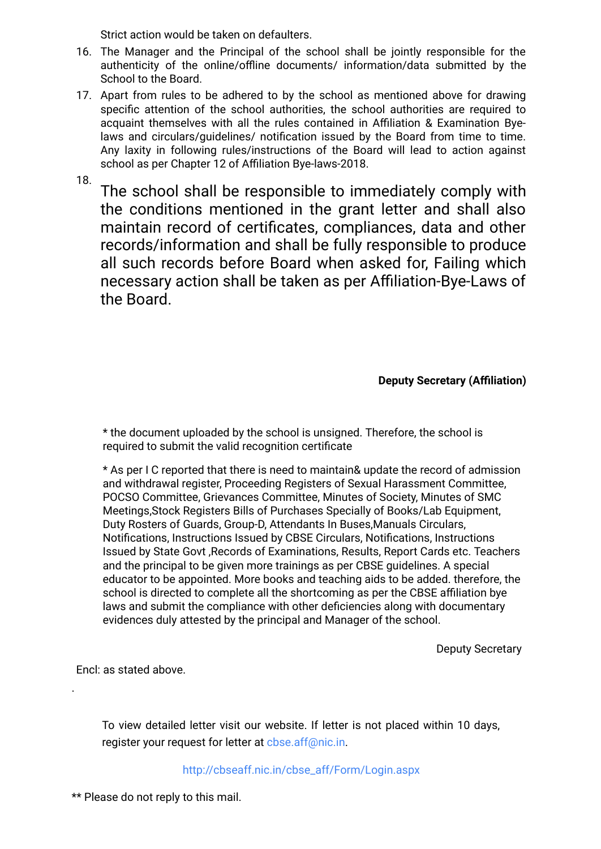Strict action would be taken on defaulters.

- 16. The Manager and the Principal of the school shall be jointly responsible for the authenticity of the online/offline documents/ information/data submitted by the School to the Board.
- 17. Apart from rules to be adhered to by the school as mentioned above for drawing specific attention of the school authorities, the school authorities are required to acquaint themselves with all the rules contained in Affiliation & Examination Byelaws and circulars/guidelines/ notification issued by the Board from time to time. Any laxity in following rules/instructions of the Board will lead to action against school as per Chapter 12 of Affiliation Bye-laws-2018.

18.

The school shall be responsible to immediately comply with the conditions mentioned in the grant letter and shall also maintain record of certificates, compliances, data and other records/information and shall be fully responsible to produce all such records before Board when asked for, Failing which necessary action shall be taken as per Affiliation-Bye-Laws of the Board.

**Deputy Secretary (Affiliation)**

\* the document uploaded by the school is unsigned. Therefore, the school is required to submit the valid recognition certificate

\* As per I C reported that there is need to maintain& update the record of admission and withdrawal register, Proceeding Registers of Sexual Harassment Committee, POCSO Committee, Grievances Committee, Minutes of Society, Minutes of SMC Meetings,Stock Registers Bills of Purchases Specially of Books/Lab Equipment, Duty Rosters of Guards, Group-D, Attendants In Buses,Manuals Circulars, Notifications, Instructions Issued by CBSE Circulars, Notifications, Instructions Issued by State Govt ,Records of Examinations, Results, Report Cards etc. Teachers and the principal to be given more trainings as per CBSE guidelines. A special educator to be appointed. More books and teaching aids to be added. therefore, the school is directed to complete all the shortcoming as per the CBSE affiliation bye laws and submit the compliance with other deficiencies along with documentary evidences duly attested by the principal and Manager of the school.

Deputy Secretary

Encl: as stated above.

.

To view detailed letter visit our website. If letter is not placed within 10 days, register your request for letter at [cbse.aff@nic.in.](mailto:cbse.aff@nic.in)

[http://cbseaff.nic.in/cbse\\_aff/Form/Login.aspx](http://cbseaff.nic.in/cbse_aff/Form/Login.aspx)

\*\* Please do not reply to this mail.